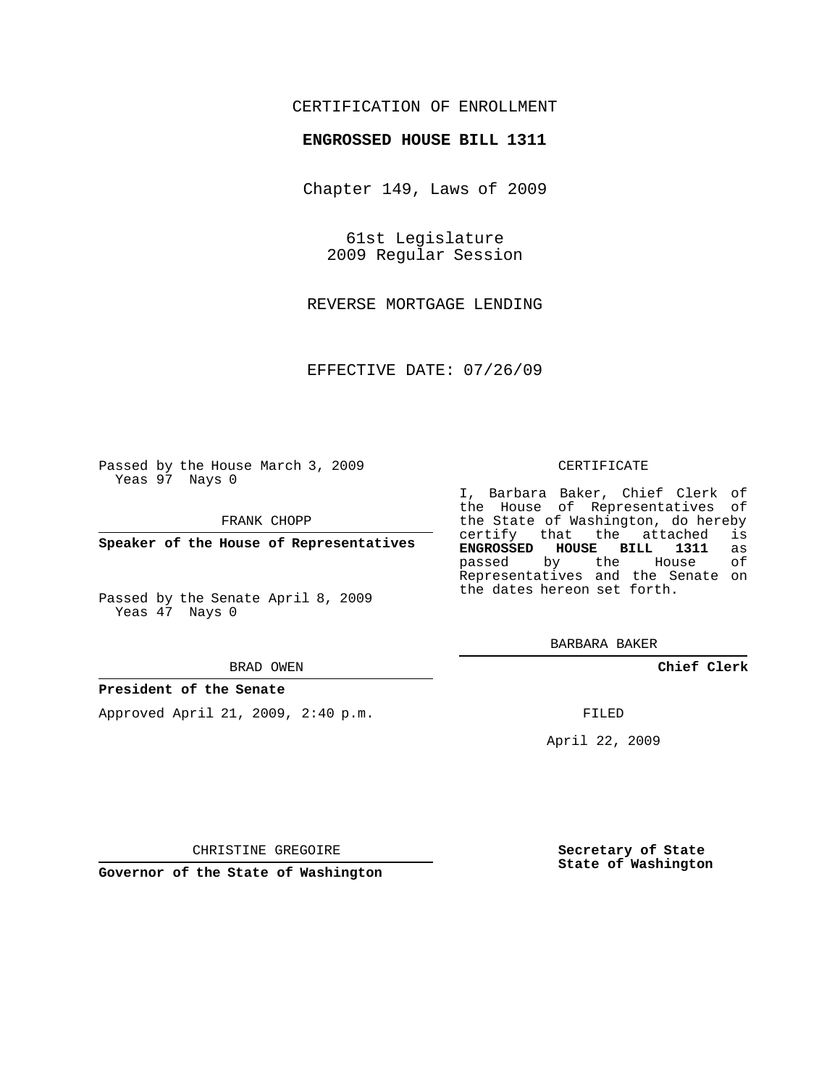# CERTIFICATION OF ENROLLMENT

### **ENGROSSED HOUSE BILL 1311**

Chapter 149, Laws of 2009

61st Legislature 2009 Regular Session

REVERSE MORTGAGE LENDING

EFFECTIVE DATE: 07/26/09

Passed by the House March 3, 2009 Yeas 97 Nays 0

FRANK CHOPP

**Speaker of the House of Representatives**

Passed by the Senate April 8, 2009 Yeas 47 Nays 0

#### BRAD OWEN

#### **President of the Senate**

Approved April 21, 2009, 2:40 p.m.

#### CERTIFICATE

I, Barbara Baker, Chief Clerk of the House of Representatives of the State of Washington, do hereby<br>certify that the attached is certify that the attached is<br>**ENGROSSED HOUSE BILL 1311** as **ENGROSSED HOUSE BILL 1311** as passed by the House Representatives and the Senate on the dates hereon set forth.

BARBARA BAKER

**Chief Clerk**

FILED

April 22, 2009

**Secretary of State State of Washington**

CHRISTINE GREGOIRE

**Governor of the State of Washington**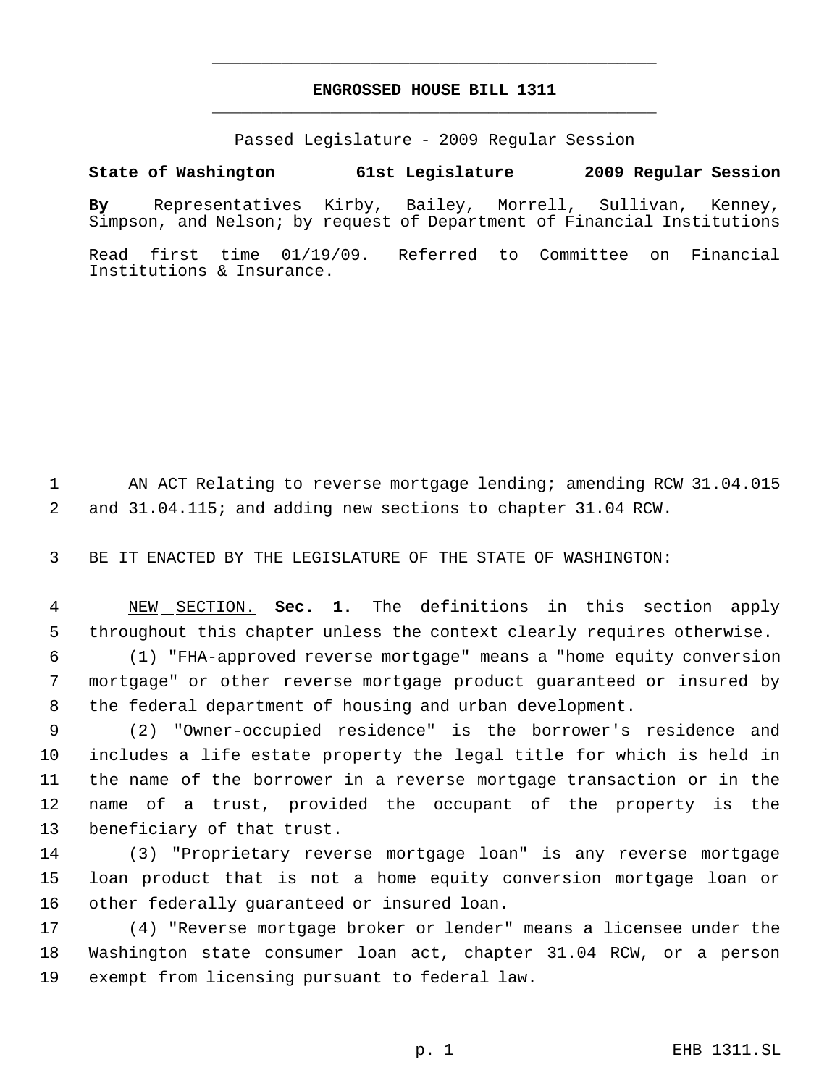# **ENGROSSED HOUSE BILL 1311** \_\_\_\_\_\_\_\_\_\_\_\_\_\_\_\_\_\_\_\_\_\_\_\_\_\_\_\_\_\_\_\_\_\_\_\_\_\_\_\_\_\_\_\_\_

\_\_\_\_\_\_\_\_\_\_\_\_\_\_\_\_\_\_\_\_\_\_\_\_\_\_\_\_\_\_\_\_\_\_\_\_\_\_\_\_\_\_\_\_\_

Passed Legislature - 2009 Regular Session

# **State of Washington 61st Legislature 2009 Regular Session**

**By** Representatives Kirby, Bailey, Morrell, Sullivan, Kenney, Simpson, and Nelson; by request of Department of Financial Institutions

Read first time 01/19/09. Referred to Committee on Financial Institutions & Insurance.

 AN ACT Relating to reverse mortgage lending; amending RCW 31.04.015 and 31.04.115; and adding new sections to chapter 31.04 RCW.

BE IT ENACTED BY THE LEGISLATURE OF THE STATE OF WASHINGTON:

 NEW SECTION. **Sec. 1.** The definitions in this section apply throughout this chapter unless the context clearly requires otherwise.

 (1) "FHA-approved reverse mortgage" means a "home equity conversion mortgage" or other reverse mortgage product guaranteed or insured by the federal department of housing and urban development.

 (2) "Owner-occupied residence" is the borrower's residence and includes a life estate property the legal title for which is held in the name of the borrower in a reverse mortgage transaction or in the name of a trust, provided the occupant of the property is the beneficiary of that trust.

 (3) "Proprietary reverse mortgage loan" is any reverse mortgage loan product that is not a home equity conversion mortgage loan or other federally guaranteed or insured loan.

 (4) "Reverse mortgage broker or lender" means a licensee under the Washington state consumer loan act, chapter 31.04 RCW, or a person exempt from licensing pursuant to federal law.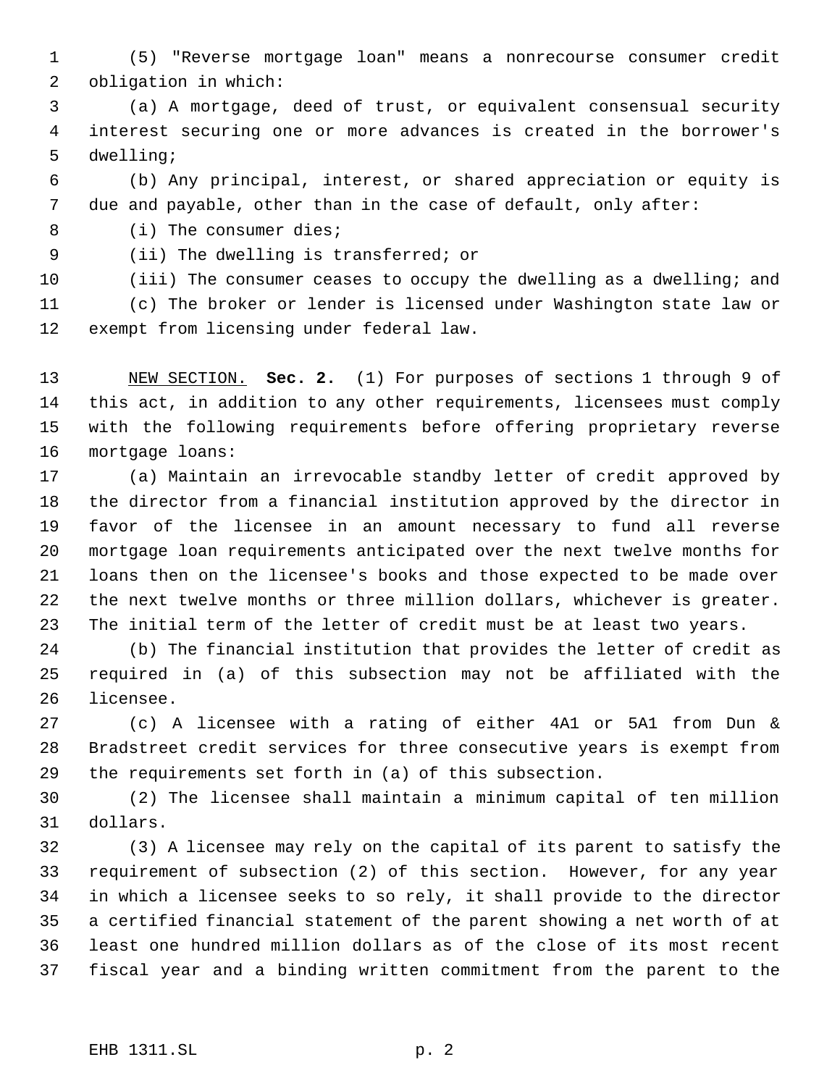(5) "Reverse mortgage loan" means a nonrecourse consumer credit obligation in which:

 (a) A mortgage, deed of trust, or equivalent consensual security interest securing one or more advances is created in the borrower's dwelling;

 (b) Any principal, interest, or shared appreciation or equity is due and payable, other than in the case of default, only after:

8 (i) The consumer dies;

(ii) The dwelling is transferred; or

 (iii) The consumer ceases to occupy the dwelling as a dwelling; and (c) The broker or lender is licensed under Washington state law or

exempt from licensing under federal law.

 NEW SECTION. **Sec. 2.** (1) For purposes of sections 1 through 9 of this act, in addition to any other requirements, licensees must comply with the following requirements before offering proprietary reverse mortgage loans:

 (a) Maintain an irrevocable standby letter of credit approved by the director from a financial institution approved by the director in favor of the licensee in an amount necessary to fund all reverse mortgage loan requirements anticipated over the next twelve months for loans then on the licensee's books and those expected to be made over the next twelve months or three million dollars, whichever is greater. The initial term of the letter of credit must be at least two years.

 (b) The financial institution that provides the letter of credit as required in (a) of this subsection may not be affiliated with the licensee.

 (c) A licensee with a rating of either 4A1 or 5A1 from Dun & Bradstreet credit services for three consecutive years is exempt from the requirements set forth in (a) of this subsection.

 (2) The licensee shall maintain a minimum capital of ten million dollars.

 (3) A licensee may rely on the capital of its parent to satisfy the requirement of subsection (2) of this section. However, for any year in which a licensee seeks to so rely, it shall provide to the director a certified financial statement of the parent showing a net worth of at least one hundred million dollars as of the close of its most recent fiscal year and a binding written commitment from the parent to the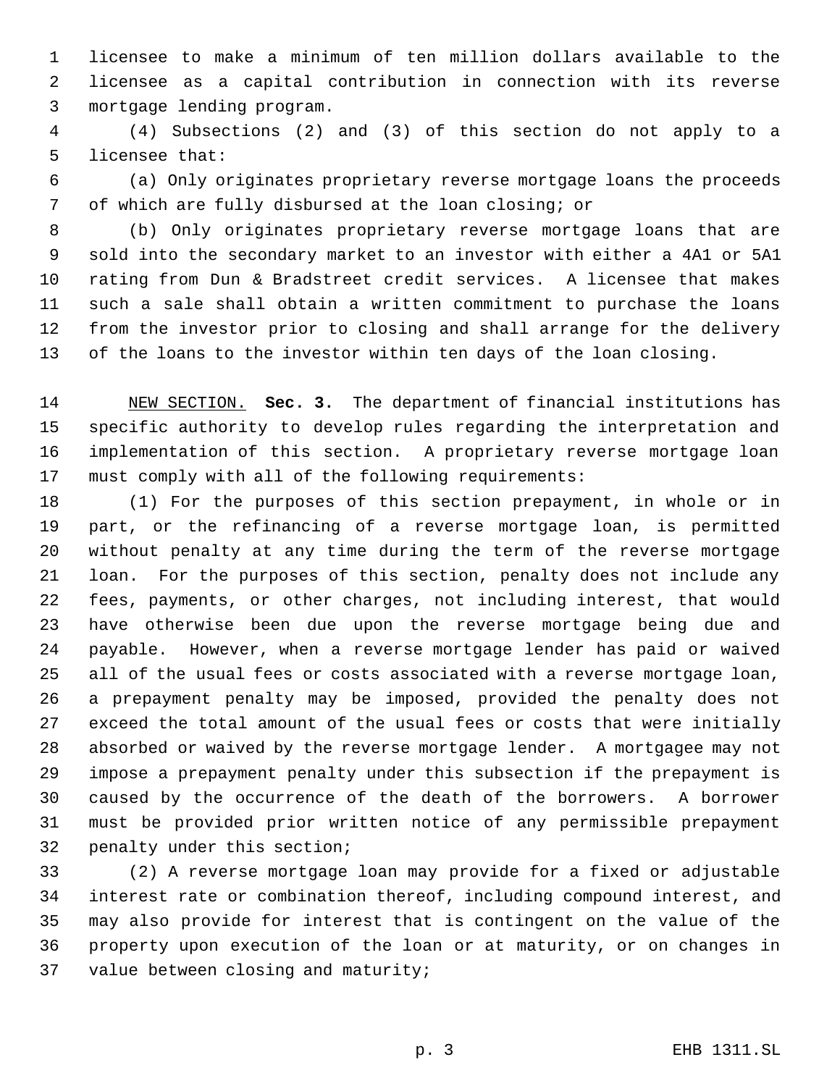licensee to make a minimum of ten million dollars available to the licensee as a capital contribution in connection with its reverse mortgage lending program.

 (4) Subsections (2) and (3) of this section do not apply to a licensee that:

 (a) Only originates proprietary reverse mortgage loans the proceeds of which are fully disbursed at the loan closing; or

 (b) Only originates proprietary reverse mortgage loans that are sold into the secondary market to an investor with either a 4A1 or 5A1 rating from Dun & Bradstreet credit services. A licensee that makes such a sale shall obtain a written commitment to purchase the loans from the investor prior to closing and shall arrange for the delivery of the loans to the investor within ten days of the loan closing.

 NEW SECTION. **Sec. 3.** The department of financial institutions has specific authority to develop rules regarding the interpretation and implementation of this section. A proprietary reverse mortgage loan must comply with all of the following requirements:

 (1) For the purposes of this section prepayment, in whole or in part, or the refinancing of a reverse mortgage loan, is permitted without penalty at any time during the term of the reverse mortgage loan. For the purposes of this section, penalty does not include any fees, payments, or other charges, not including interest, that would have otherwise been due upon the reverse mortgage being due and payable. However, when a reverse mortgage lender has paid or waived all of the usual fees or costs associated with a reverse mortgage loan, a prepayment penalty may be imposed, provided the penalty does not exceed the total amount of the usual fees or costs that were initially absorbed or waived by the reverse mortgage lender. A mortgagee may not impose a prepayment penalty under this subsection if the prepayment is caused by the occurrence of the death of the borrowers. A borrower must be provided prior written notice of any permissible prepayment penalty under this section;

 (2) A reverse mortgage loan may provide for a fixed or adjustable interest rate or combination thereof, including compound interest, and may also provide for interest that is contingent on the value of the property upon execution of the loan or at maturity, or on changes in value between closing and maturity;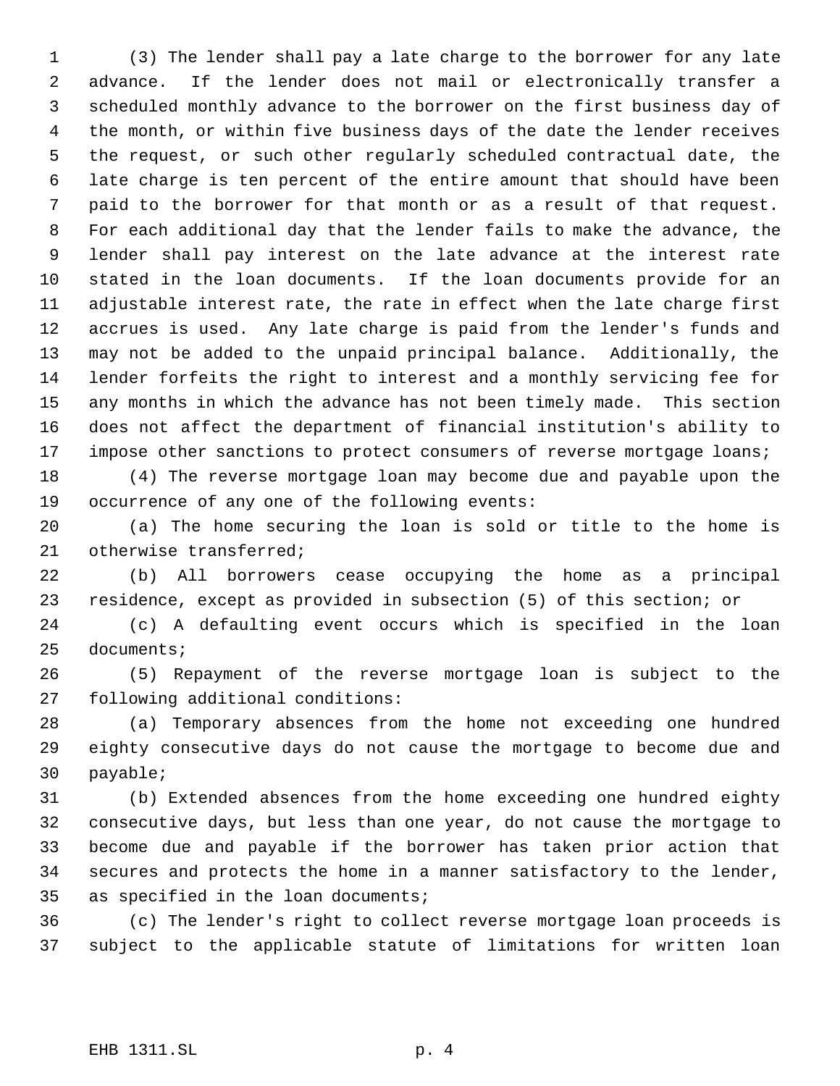(3) The lender shall pay a late charge to the borrower for any late advance. If the lender does not mail or electronically transfer a scheduled monthly advance to the borrower on the first business day of the month, or within five business days of the date the lender receives the request, or such other regularly scheduled contractual date, the late charge is ten percent of the entire amount that should have been paid to the borrower for that month or as a result of that request. For each additional day that the lender fails to make the advance, the lender shall pay interest on the late advance at the interest rate stated in the loan documents. If the loan documents provide for an adjustable interest rate, the rate in effect when the late charge first accrues is used. Any late charge is paid from the lender's funds and may not be added to the unpaid principal balance. Additionally, the lender forfeits the right to interest and a monthly servicing fee for any months in which the advance has not been timely made. This section does not affect the department of financial institution's ability to 17 impose other sanctions to protect consumers of reverse mortgage loans;

 (4) The reverse mortgage loan may become due and payable upon the occurrence of any one of the following events:

 (a) The home securing the loan is sold or title to the home is otherwise transferred;

 (b) All borrowers cease occupying the home as a principal residence, except as provided in subsection (5) of this section; or

 (c) A defaulting event occurs which is specified in the loan documents;

 (5) Repayment of the reverse mortgage loan is subject to the following additional conditions:

 (a) Temporary absences from the home not exceeding one hundred eighty consecutive days do not cause the mortgage to become due and payable;

 (b) Extended absences from the home exceeding one hundred eighty consecutive days, but less than one year, do not cause the mortgage to become due and payable if the borrower has taken prior action that secures and protects the home in a manner satisfactory to the lender, as specified in the loan documents;

 (c) The lender's right to collect reverse mortgage loan proceeds is subject to the applicable statute of limitations for written loan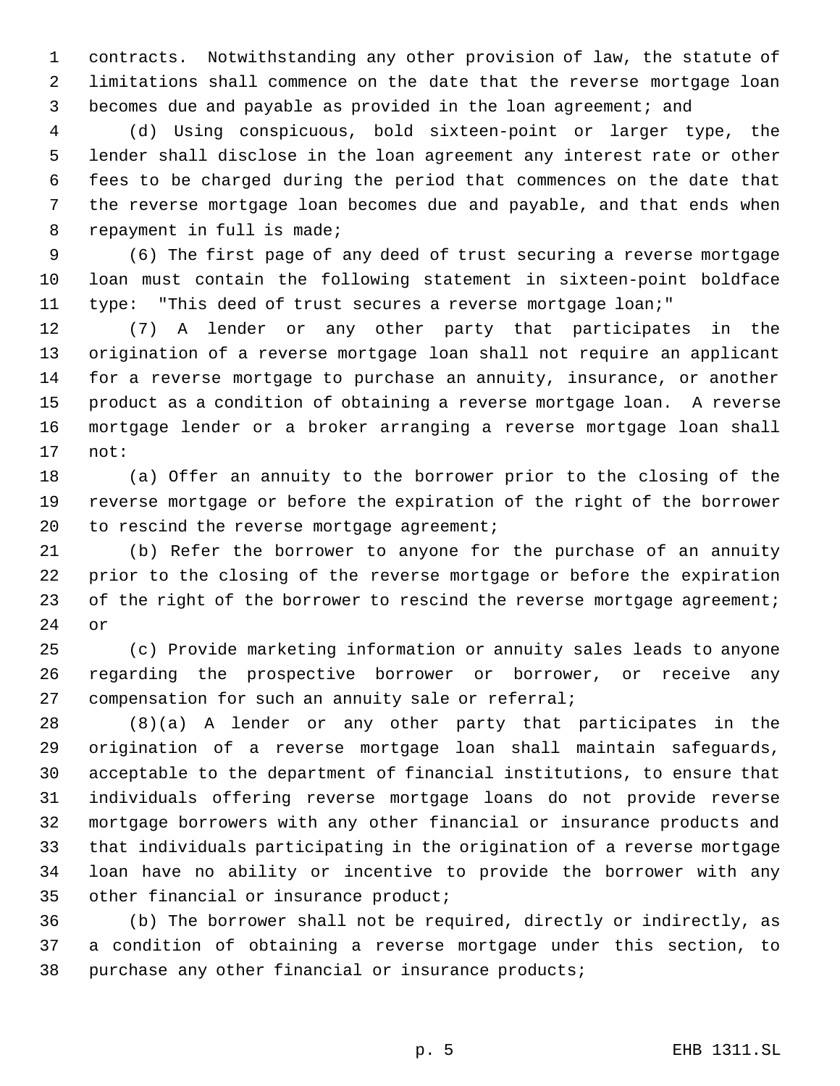contracts. Notwithstanding any other provision of law, the statute of limitations shall commence on the date that the reverse mortgage loan becomes due and payable as provided in the loan agreement; and

 (d) Using conspicuous, bold sixteen-point or larger type, the lender shall disclose in the loan agreement any interest rate or other fees to be charged during the period that commences on the date that the reverse mortgage loan becomes due and payable, and that ends when repayment in full is made;

 (6) The first page of any deed of trust securing a reverse mortgage loan must contain the following statement in sixteen-point boldface type: "This deed of trust secures a reverse mortgage loan;"

 (7) A lender or any other party that participates in the origination of a reverse mortgage loan shall not require an applicant for a reverse mortgage to purchase an annuity, insurance, or another product as a condition of obtaining a reverse mortgage loan. A reverse mortgage lender or a broker arranging a reverse mortgage loan shall not:

 (a) Offer an annuity to the borrower prior to the closing of the reverse mortgage or before the expiration of the right of the borrower 20 to rescind the reverse mortgage agreement;

 (b) Refer the borrower to anyone for the purchase of an annuity prior to the closing of the reverse mortgage or before the expiration 23 of the right of the borrower to rescind the reverse mortgage agreement; or

 (c) Provide marketing information or annuity sales leads to anyone regarding the prospective borrower or borrower, or receive any compensation for such an annuity sale or referral;

 (8)(a) A lender or any other party that participates in the origination of a reverse mortgage loan shall maintain safeguards, acceptable to the department of financial institutions, to ensure that individuals offering reverse mortgage loans do not provide reverse mortgage borrowers with any other financial or insurance products and that individuals participating in the origination of a reverse mortgage loan have no ability or incentive to provide the borrower with any other financial or insurance product;

 (b) The borrower shall not be required, directly or indirectly, as a condition of obtaining a reverse mortgage under this section, to purchase any other financial or insurance products;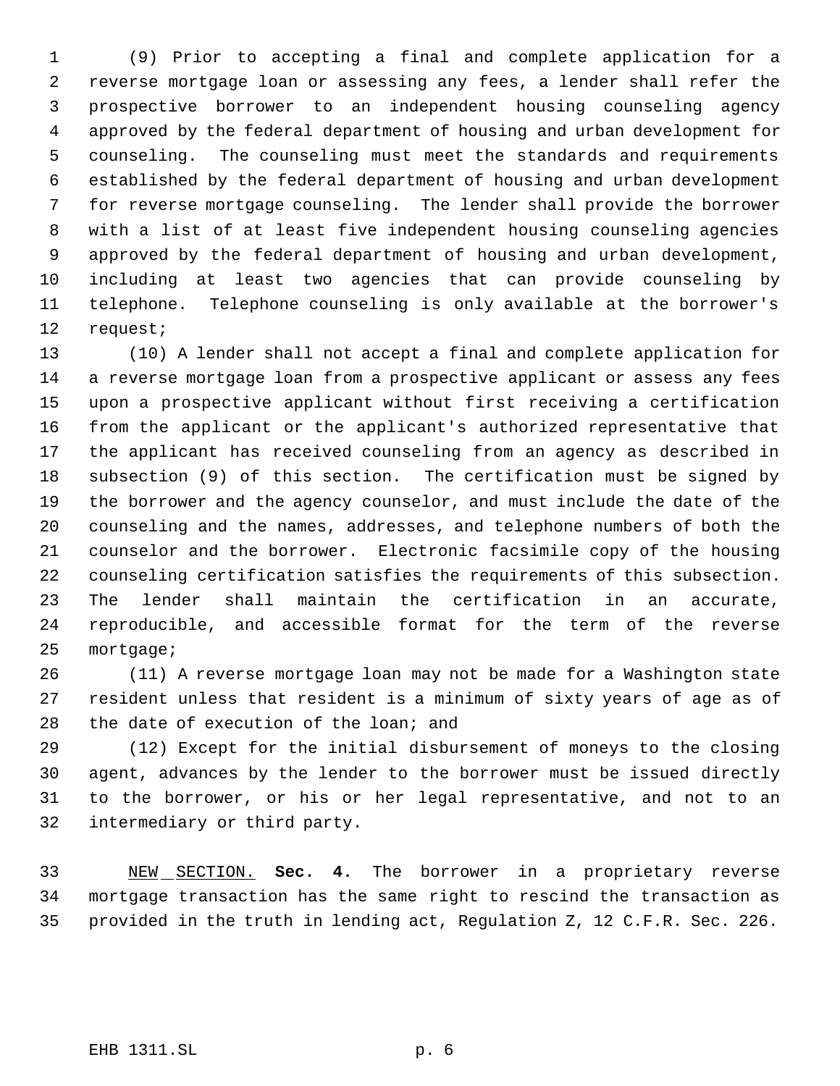(9) Prior to accepting a final and complete application for a reverse mortgage loan or assessing any fees, a lender shall refer the prospective borrower to an independent housing counseling agency approved by the federal department of housing and urban development for counseling. The counseling must meet the standards and requirements established by the federal department of housing and urban development for reverse mortgage counseling. The lender shall provide the borrower with a list of at least five independent housing counseling agencies approved by the federal department of housing and urban development, including at least two agencies that can provide counseling by telephone. Telephone counseling is only available at the borrower's request;

 (10) A lender shall not accept a final and complete application for a reverse mortgage loan from a prospective applicant or assess any fees upon a prospective applicant without first receiving a certification from the applicant or the applicant's authorized representative that the applicant has received counseling from an agency as described in subsection (9) of this section. The certification must be signed by the borrower and the agency counselor, and must include the date of the counseling and the names, addresses, and telephone numbers of both the counselor and the borrower. Electronic facsimile copy of the housing counseling certification satisfies the requirements of this subsection. The lender shall maintain the certification in an accurate, reproducible, and accessible format for the term of the reverse mortgage;

 (11) A reverse mortgage loan may not be made for a Washington state resident unless that resident is a minimum of sixty years of age as of 28 the date of execution of the loan; and

 (12) Except for the initial disbursement of moneys to the closing agent, advances by the lender to the borrower must be issued directly to the borrower, or his or her legal representative, and not to an intermediary or third party.

 NEW SECTION. **Sec. 4.** The borrower in a proprietary reverse mortgage transaction has the same right to rescind the transaction as provided in the truth in lending act, Regulation Z, 12 C.F.R. Sec. 226.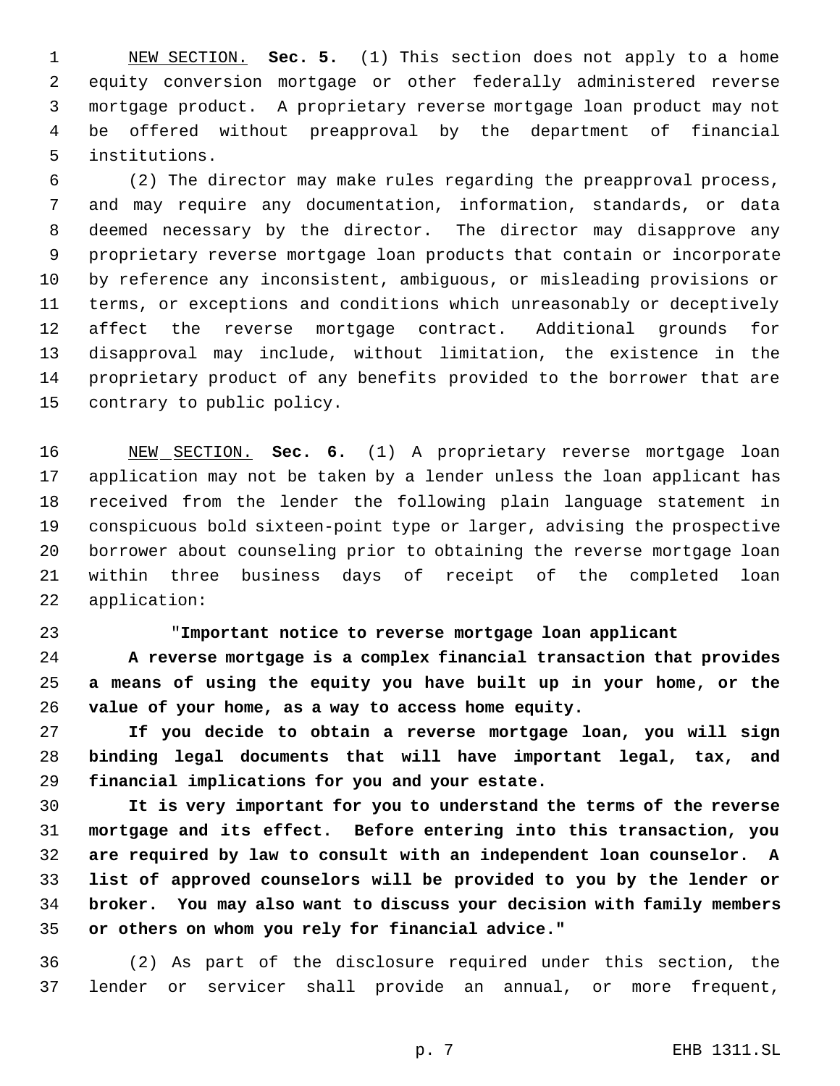NEW SECTION. **Sec. 5.** (1) This section does not apply to a home equity conversion mortgage or other federally administered reverse mortgage product. A proprietary reverse mortgage loan product may not be offered without preapproval by the department of financial institutions.

 (2) The director may make rules regarding the preapproval process, and may require any documentation, information, standards, or data deemed necessary by the director. The director may disapprove any proprietary reverse mortgage loan products that contain or incorporate by reference any inconsistent, ambiguous, or misleading provisions or terms, or exceptions and conditions which unreasonably or deceptively affect the reverse mortgage contract. Additional grounds for disapproval may include, without limitation, the existence in the proprietary product of any benefits provided to the borrower that are contrary to public policy.

 NEW SECTION. **Sec. 6.** (1) A proprietary reverse mortgage loan application may not be taken by a lender unless the loan applicant has received from the lender the following plain language statement in conspicuous bold sixteen-point type or larger, advising the prospective borrower about counseling prior to obtaining the reverse mortgage loan within three business days of receipt of the completed loan application:

"**Important notice to reverse mortgage loan applicant**

 **A reverse mortgage is a complex financial transaction that provides a means of using the equity you have built up in your home, or the value of your home, as a way to access home equity.**

 **If you decide to obtain a reverse mortgage loan, you will sign binding legal documents that will have important legal, tax, and financial implications for you and your estate.**

 **It is very important for you to understand the terms of the reverse mortgage and its effect. Before entering into this transaction, you are required by law to consult with an independent loan counselor. A list of approved counselors will be provided to you by the lender or broker. You may also want to discuss your decision with family members or others on whom you rely for financial advice."**

 (2) As part of the disclosure required under this section, the lender or servicer shall provide an annual, or more frequent,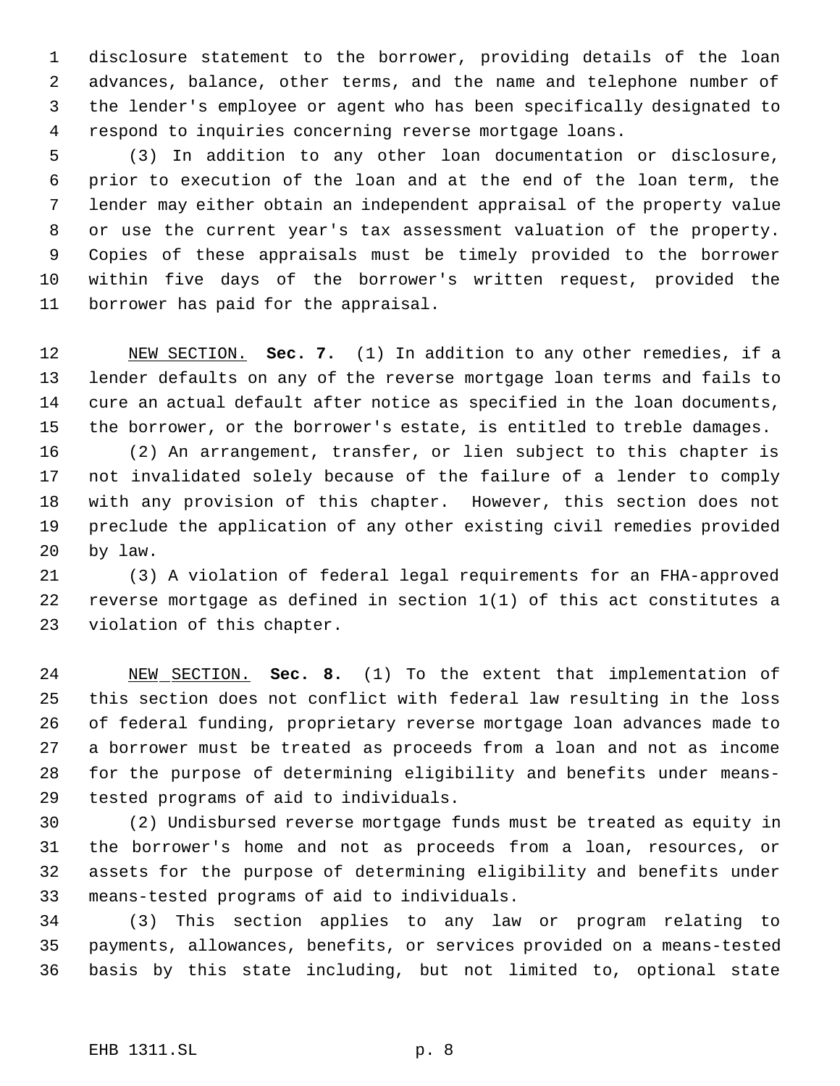disclosure statement to the borrower, providing details of the loan advances, balance, other terms, and the name and telephone number of the lender's employee or agent who has been specifically designated to respond to inquiries concerning reverse mortgage loans.

 (3) In addition to any other loan documentation or disclosure, prior to execution of the loan and at the end of the loan term, the lender may either obtain an independent appraisal of the property value or use the current year's tax assessment valuation of the property. Copies of these appraisals must be timely provided to the borrower within five days of the borrower's written request, provided the borrower has paid for the appraisal.

 NEW SECTION. **Sec. 7.** (1) In addition to any other remedies, if a lender defaults on any of the reverse mortgage loan terms and fails to cure an actual default after notice as specified in the loan documents, the borrower, or the borrower's estate, is entitled to treble damages.

 (2) An arrangement, transfer, or lien subject to this chapter is not invalidated solely because of the failure of a lender to comply with any provision of this chapter. However, this section does not preclude the application of any other existing civil remedies provided by law.

 (3) A violation of federal legal requirements for an FHA-approved reverse mortgage as defined in section 1(1) of this act constitutes a violation of this chapter.

 NEW SECTION. **Sec. 8.** (1) To the extent that implementation of this section does not conflict with federal law resulting in the loss of federal funding, proprietary reverse mortgage loan advances made to a borrower must be treated as proceeds from a loan and not as income for the purpose of determining eligibility and benefits under means-tested programs of aid to individuals.

 (2) Undisbursed reverse mortgage funds must be treated as equity in the borrower's home and not as proceeds from a loan, resources, or assets for the purpose of determining eligibility and benefits under means-tested programs of aid to individuals.

 (3) This section applies to any law or program relating to payments, allowances, benefits, or services provided on a means-tested basis by this state including, but not limited to, optional state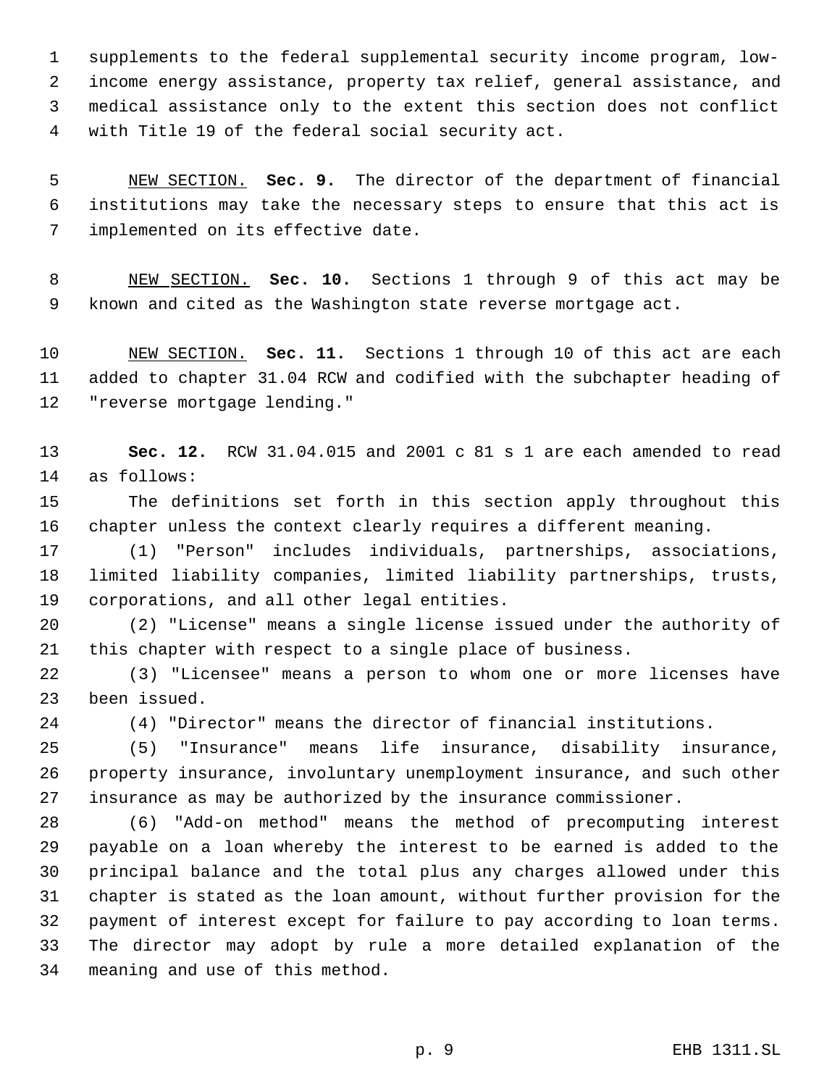supplements to the federal supplemental security income program, low- income energy assistance, property tax relief, general assistance, and medical assistance only to the extent this section does not conflict with Title 19 of the federal social security act.

 NEW SECTION. **Sec. 9.** The director of the department of financial institutions may take the necessary steps to ensure that this act is implemented on its effective date.

 NEW SECTION. **Sec. 10.** Sections 1 through 9 of this act may be known and cited as the Washington state reverse mortgage act.

 NEW SECTION. **Sec. 11.** Sections 1 through 10 of this act are each added to chapter 31.04 RCW and codified with the subchapter heading of "reverse mortgage lending."

 **Sec. 12.** RCW 31.04.015 and 2001 c 81 s 1 are each amended to read as follows:

 The definitions set forth in this section apply throughout this chapter unless the context clearly requires a different meaning.

 (1) "Person" includes individuals, partnerships, associations, limited liability companies, limited liability partnerships, trusts, corporations, and all other legal entities.

 (2) "License" means a single license issued under the authority of this chapter with respect to a single place of business.

 (3) "Licensee" means a person to whom one or more licenses have been issued.

(4) "Director" means the director of financial institutions.

 (5) "Insurance" means life insurance, disability insurance, property insurance, involuntary unemployment insurance, and such other insurance as may be authorized by the insurance commissioner.

 (6) "Add-on method" means the method of precomputing interest payable on a loan whereby the interest to be earned is added to the principal balance and the total plus any charges allowed under this chapter is stated as the loan amount, without further provision for the payment of interest except for failure to pay according to loan terms. The director may adopt by rule a more detailed explanation of the meaning and use of this method.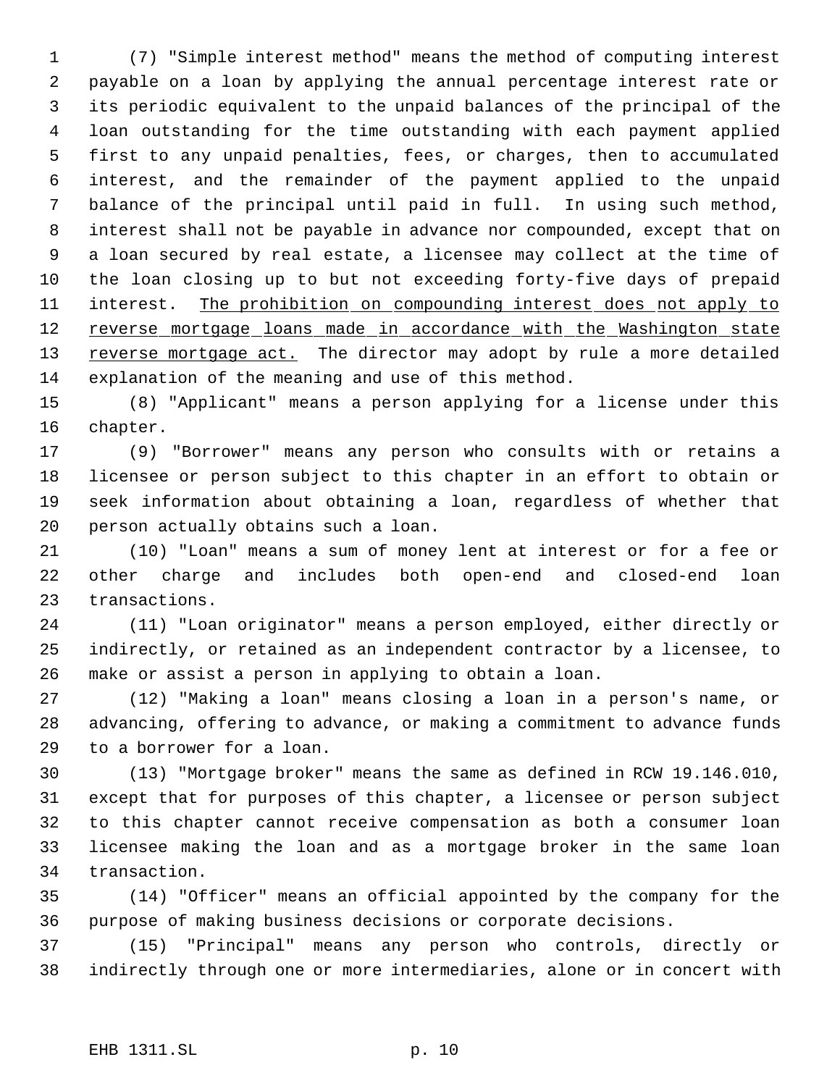(7) "Simple interest method" means the method of computing interest payable on a loan by applying the annual percentage interest rate or its periodic equivalent to the unpaid balances of the principal of the loan outstanding for the time outstanding with each payment applied first to any unpaid penalties, fees, or charges, then to accumulated interest, and the remainder of the payment applied to the unpaid balance of the principal until paid in full. In using such method, interest shall not be payable in advance nor compounded, except that on a loan secured by real estate, a licensee may collect at the time of the loan closing up to but not exceeding forty-five days of prepaid 11 interest. The prohibition on compounding interest does not apply to 12 reverse mortgage loans made in accordance with the Washington state 13 reverse mortgage act. The director may adopt by rule a more detailed explanation of the meaning and use of this method.

 (8) "Applicant" means a person applying for a license under this chapter.

 (9) "Borrower" means any person who consults with or retains a licensee or person subject to this chapter in an effort to obtain or seek information about obtaining a loan, regardless of whether that person actually obtains such a loan.

 (10) "Loan" means a sum of money lent at interest or for a fee or other charge and includes both open-end and closed-end loan transactions.

 (11) "Loan originator" means a person employed, either directly or indirectly, or retained as an independent contractor by a licensee, to make or assist a person in applying to obtain a loan.

 (12) "Making a loan" means closing a loan in a person's name, or advancing, offering to advance, or making a commitment to advance funds to a borrower for a loan.

 (13) "Mortgage broker" means the same as defined in RCW 19.146.010, except that for purposes of this chapter, a licensee or person subject to this chapter cannot receive compensation as both a consumer loan licensee making the loan and as a mortgage broker in the same loan transaction.

 (14) "Officer" means an official appointed by the company for the purpose of making business decisions or corporate decisions.

 (15) "Principal" means any person who controls, directly or indirectly through one or more intermediaries, alone or in concert with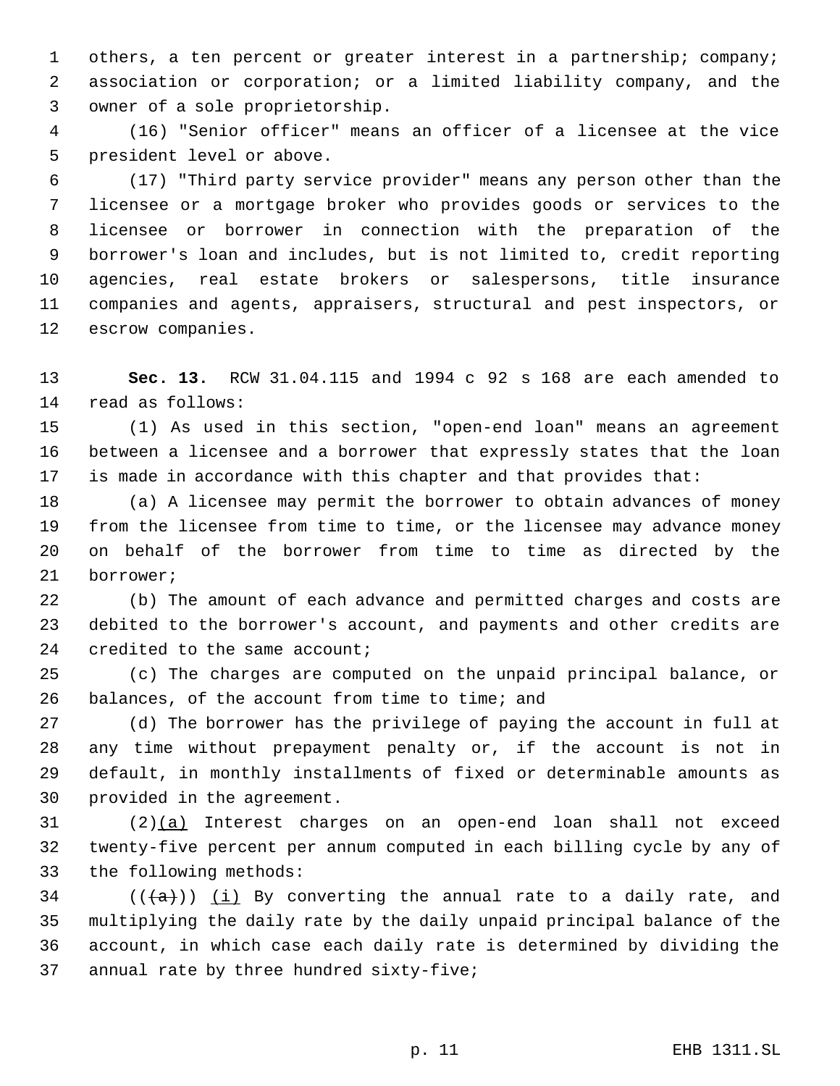others, a ten percent or greater interest in a partnership; company; association or corporation; or a limited liability company, and the owner of a sole proprietorship.

 (16) "Senior officer" means an officer of a licensee at the vice president level or above.

 (17) "Third party service provider" means any person other than the licensee or a mortgage broker who provides goods or services to the licensee or borrower in connection with the preparation of the borrower's loan and includes, but is not limited to, credit reporting agencies, real estate brokers or salespersons, title insurance companies and agents, appraisers, structural and pest inspectors, or escrow companies.

 **Sec. 13.** RCW 31.04.115 and 1994 c 92 s 168 are each amended to read as follows:

 (1) As used in this section, "open-end loan" means an agreement between a licensee and a borrower that expressly states that the loan is made in accordance with this chapter and that provides that:

 (a) A licensee may permit the borrower to obtain advances of money from the licensee from time to time, or the licensee may advance money on behalf of the borrower from time to time as directed by the borrower;

 (b) The amount of each advance and permitted charges and costs are debited to the borrower's account, and payments and other credits are 24 credited to the same account;

 (c) The charges are computed on the unpaid principal balance, or balances, of the account from time to time; and

 (d) The borrower has the privilege of paying the account in full at any time without prepayment penalty or, if the account is not in default, in monthly installments of fixed or determinable amounts as provided in the agreement.

 (2)(a) Interest charges on an open-end loan shall not exceed twenty-five percent per annum computed in each billing cycle by any of the following methods:

34 ( $(\overline{\{a\}})$ ) (i) By converting the annual rate to a daily rate, and multiplying the daily rate by the daily unpaid principal balance of the account, in which case each daily rate is determined by dividing the annual rate by three hundred sixty-five;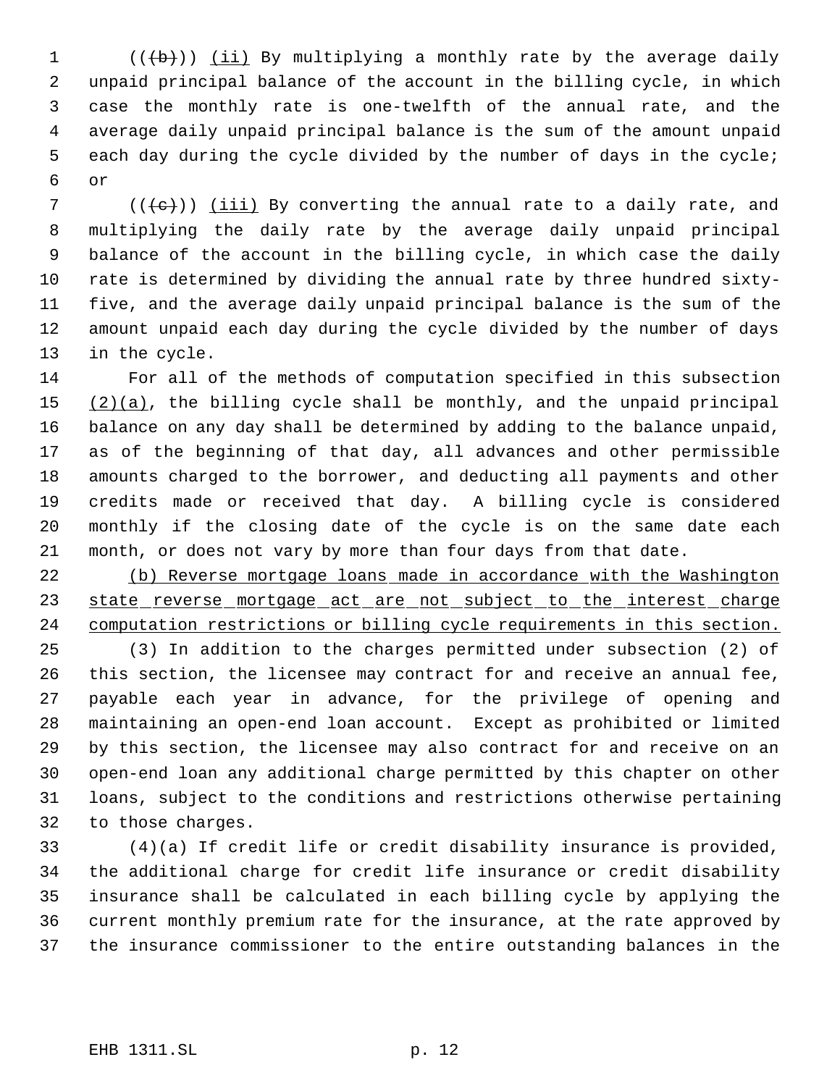$((\{b\}))$  (ii) By multiplying a monthly rate by the average daily unpaid principal balance of the account in the billing cycle, in which case the monthly rate is one-twelfth of the annual rate, and the average daily unpaid principal balance is the sum of the amount unpaid each day during the cycle divided by the number of days in the cycle; or

7 ( $((e))$  (iii) By converting the annual rate to a daily rate, and multiplying the daily rate by the average daily unpaid principal balance of the account in the billing cycle, in which case the daily rate is determined by dividing the annual rate by three hundred sixty- five, and the average daily unpaid principal balance is the sum of the amount unpaid each day during the cycle divided by the number of days in the cycle.

 For all of the methods of computation specified in this subsection  $(2)(a)$ , the billing cycle shall be monthly, and the unpaid principal balance on any day shall be determined by adding to the balance unpaid, as of the beginning of that day, all advances and other permissible amounts charged to the borrower, and deducting all payments and other credits made or received that day. A billing cycle is considered monthly if the closing date of the cycle is on the same date each month, or does not vary by more than four days from that date.

 (b) Reverse mortgage loans made in accordance with the Washington 23 state reverse mortgage act are not subject to the interest charge computation restrictions or billing cycle requirements in this section.

 (3) In addition to the charges permitted under subsection (2) of this section, the licensee may contract for and receive an annual fee, payable each year in advance, for the privilege of opening and maintaining an open-end loan account. Except as prohibited or limited by this section, the licensee may also contract for and receive on an open-end loan any additional charge permitted by this chapter on other loans, subject to the conditions and restrictions otherwise pertaining to those charges.

 (4)(a) If credit life or credit disability insurance is provided, the additional charge for credit life insurance or credit disability insurance shall be calculated in each billing cycle by applying the current monthly premium rate for the insurance, at the rate approved by the insurance commissioner to the entire outstanding balances in the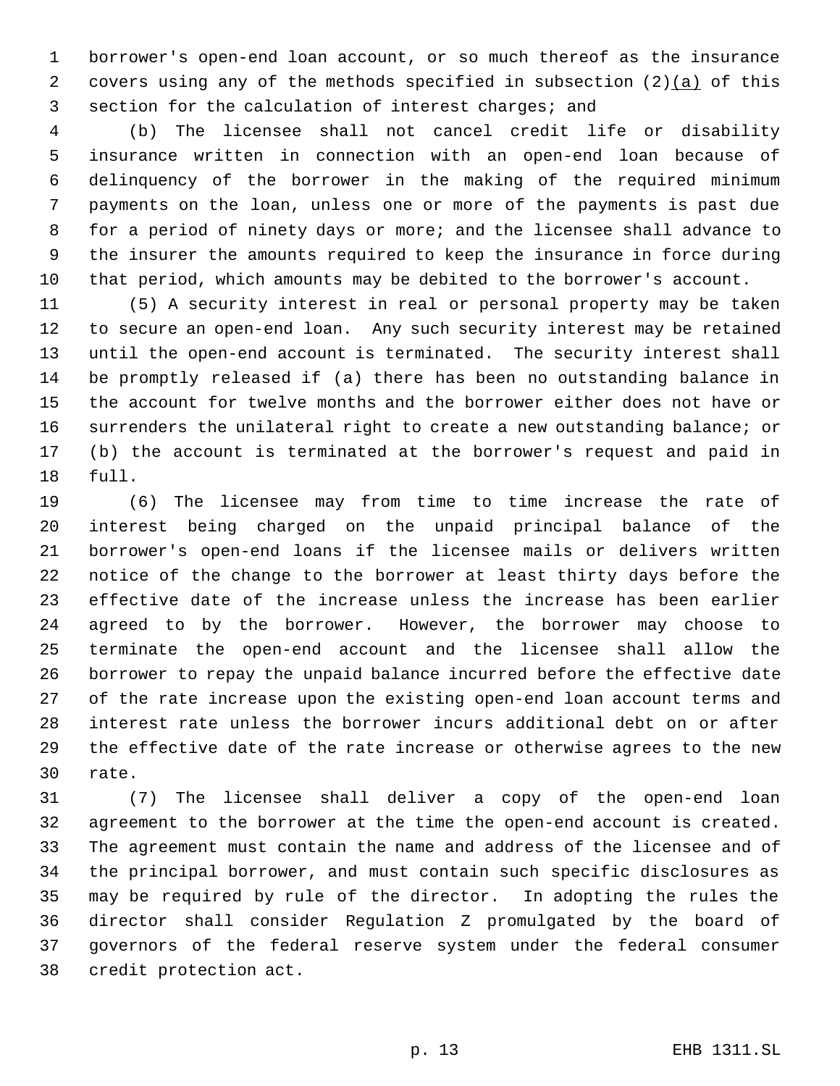borrower's open-end loan account, or so much thereof as the insurance 2 covers using any of the methods specified in subsection  $(2)(a)$  of this section for the calculation of interest charges; and

 (b) The licensee shall not cancel credit life or disability insurance written in connection with an open-end loan because of delinquency of the borrower in the making of the required minimum payments on the loan, unless one or more of the payments is past due for a period of ninety days or more; and the licensee shall advance to the insurer the amounts required to keep the insurance in force during that period, which amounts may be debited to the borrower's account.

 (5) A security interest in real or personal property may be taken to secure an open-end loan. Any such security interest may be retained until the open-end account is terminated. The security interest shall be promptly released if (a) there has been no outstanding balance in the account for twelve months and the borrower either does not have or surrenders the unilateral right to create a new outstanding balance; or (b) the account is terminated at the borrower's request and paid in full.

 (6) The licensee may from time to time increase the rate of interest being charged on the unpaid principal balance of the borrower's open-end loans if the licensee mails or delivers written notice of the change to the borrower at least thirty days before the effective date of the increase unless the increase has been earlier agreed to by the borrower. However, the borrower may choose to terminate the open-end account and the licensee shall allow the borrower to repay the unpaid balance incurred before the effective date of the rate increase upon the existing open-end loan account terms and interest rate unless the borrower incurs additional debt on or after the effective date of the rate increase or otherwise agrees to the new rate.

 (7) The licensee shall deliver a copy of the open-end loan agreement to the borrower at the time the open-end account is created. The agreement must contain the name and address of the licensee and of the principal borrower, and must contain such specific disclosures as may be required by rule of the director. In adopting the rules the director shall consider Regulation Z promulgated by the board of governors of the federal reserve system under the federal consumer credit protection act.